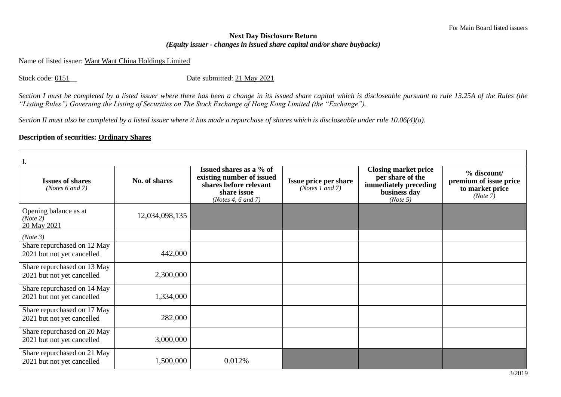## **Next Day Disclosure Return**  *(Equity issuer - changes in issued share capital and/or share buybacks)*

Name of listed issuer: Want Want China Holdings Limited

Stock code: 0151\_\_ Date submitted: 21 May 2021

*Section I must be completed by a listed issuer where there has been a change in its issued share capital which is discloseable pursuant to rule 13.25A of the Rules (the "Listing Rules") Governing the Listing of Securities on The Stock Exchange of Hong Kong Limited (the "Exchange").*

*Section II must also be completed by a listed issuer where it has made a repurchase of shares which is discloseable under rule 10.06(4)(a).*

## **Description of securities: Ordinary Shares**

| I.                                                        |                |                                                                                                                     |                                                          |                                                                                                      |                                                                      |  |
|-----------------------------------------------------------|----------------|---------------------------------------------------------------------------------------------------------------------|----------------------------------------------------------|------------------------------------------------------------------------------------------------------|----------------------------------------------------------------------|--|
| <b>Issues of shares</b><br>( <i>Notes</i> $6$ and $7$ )   | No. of shares  | Issued shares as a % of<br>existing number of issued<br>shares before relevant<br>share issue<br>(Notes 4, 6 and 7) | <b>Issue price per share</b><br>( <i>Notes 1 and 7</i> ) | <b>Closing market price</b><br>per share of the<br>immediately preceding<br>business day<br>(Note 5) | % discount/<br>premium of issue price<br>to market price<br>(Note 7) |  |
| Opening balance as at<br>(Note 2)<br>20 May 2021          | 12,034,098,135 |                                                                                                                     |                                                          |                                                                                                      |                                                                      |  |
| (Note 3)                                                  |                |                                                                                                                     |                                                          |                                                                                                      |                                                                      |  |
| Share repurchased on 12 May<br>2021 but not yet cancelled | 442,000        |                                                                                                                     |                                                          |                                                                                                      |                                                                      |  |
| Share repurchased on 13 May<br>2021 but not yet cancelled | 2,300,000      |                                                                                                                     |                                                          |                                                                                                      |                                                                      |  |
| Share repurchased on 14 May<br>2021 but not yet cancelled | 1,334,000      |                                                                                                                     |                                                          |                                                                                                      |                                                                      |  |
| Share repurchased on 17 May<br>2021 but not yet cancelled | 282,000        |                                                                                                                     |                                                          |                                                                                                      |                                                                      |  |
| Share repurchased on 20 May<br>2021 but not yet cancelled | 3,000,000      |                                                                                                                     |                                                          |                                                                                                      |                                                                      |  |
| Share repurchased on 21 May<br>2021 but not yet cancelled | 1,500,000      | 0.012%                                                                                                              |                                                          |                                                                                                      |                                                                      |  |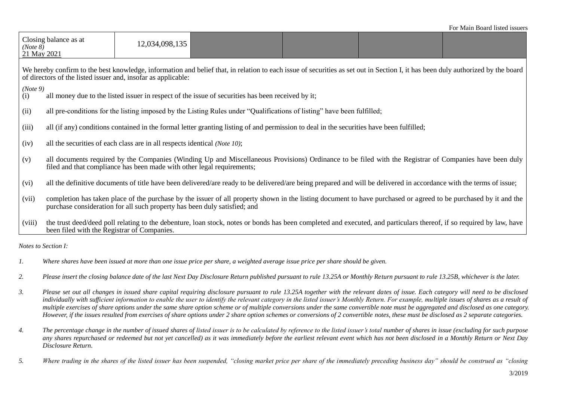| (Note 8)<br>21 May 2021                                                                                                                                                                                                                          | Closing balance as at                                                                                                                                                                                                                         | 12,034,098,135 |                                                                                                                                                                      |  |  |  |
|--------------------------------------------------------------------------------------------------------------------------------------------------------------------------------------------------------------------------------------------------|-----------------------------------------------------------------------------------------------------------------------------------------------------------------------------------------------------------------------------------------------|----------------|----------------------------------------------------------------------------------------------------------------------------------------------------------------------|--|--|--|
| We hereby confirm to the best knowledge, information and belief that, in relation to each issue of securities as set out in Section I, it has been duly authorized by the board<br>of directors of the listed issuer and, insofar as applicable: |                                                                                                                                                                                                                                               |                |                                                                                                                                                                      |  |  |  |
| (Note 9)<br>all money due to the listed issuer in respect of the issue of securities has been received by it;<br>$\left(1\right)$                                                                                                                |                                                                                                                                                                                                                                               |                |                                                                                                                                                                      |  |  |  |
| (ii)                                                                                                                                                                                                                                             | all pre-conditions for the listing imposed by the Listing Rules under "Qualifications of listing" have been fulfilled;                                                                                                                        |                |                                                                                                                                                                      |  |  |  |
| (iii)                                                                                                                                                                                                                                            | all (if any) conditions contained in the formal letter granting listing of and permission to deal in the securities have been fulfilled;                                                                                                      |                |                                                                                                                                                                      |  |  |  |
| (iv)                                                                                                                                                                                                                                             | all the securities of each class are in all respects identical (Note 10);                                                                                                                                                                     |                |                                                                                                                                                                      |  |  |  |
| (v)                                                                                                                                                                                                                                              | all documents required by the Companies (Winding Up and Miscellaneous Provisions) Ordinance to be filed with the Registrar of Companies have been duly<br>filed and that compliance has been made with other legal requirements;              |                |                                                                                                                                                                      |  |  |  |
| (vi)                                                                                                                                                                                                                                             |                                                                                                                                                                                                                                               |                | all the definitive documents of title have been delivered/are ready to be delivered/are being prepared and will be delivered in accordance with the terms of issue;  |  |  |  |
| (vii)                                                                                                                                                                                                                                            | completion has taken place of the purchase by the issuer of all property shown in the listing document to have purchased or agreed to be purchased by it and the<br>purchase consideration for all such property has been duly satisfied; and |                |                                                                                                                                                                      |  |  |  |
| (viii)                                                                                                                                                                                                                                           | been filed with the Registrar of Companies.                                                                                                                                                                                                   |                | the trust deed/deed poll relating to the debenture, loan stock, notes or bonds has been completed and executed, and particulars thereof, if so required by law, have |  |  |  |

*Notes to Section I:*

- *1. Where shares have been issued at more than one issue price per share, a weighted average issue price per share should be given.*
- 2. Please insert the closing balance date of the last Next Day Disclosure Return published pursuant to rule 13.25A or Monthly Return pursuant to rule 13.25B, whichever is the later.
- *3. Please set out all changes in issued share capital requiring disclosure pursuant to rule 13.25A together with the relevant dates of issue. Each category will need to be disclosed*  individually with sufficient information to enable the user to identify the relevant category in the listed issuer's Monthly Return. For example, multiple issues of shares as a result of *multiple exercises of share options under the same share option scheme or of multiple conversions under the same convertible note must be aggregated and disclosed as one category. However, if the issues resulted from exercises of share options under 2 share option schemes or conversions of 2 convertible notes, these must be disclosed as 2 separate categories.*
- *4. The percentage change in the number of issued shares of listed issuer is to be calculated by reference to the listed issuer's total number of shares in issue (excluding for such purpose any shares repurchased or redeemed but not yet cancelled) as it was immediately before the earliest relevant event which has not been disclosed in a Monthly Return or Next Day Disclosure Return.*
- *5. Where trading in the shares of the listed issuer has been suspended, "closing market price per share of the immediately preceding business day" should be construed as "closing*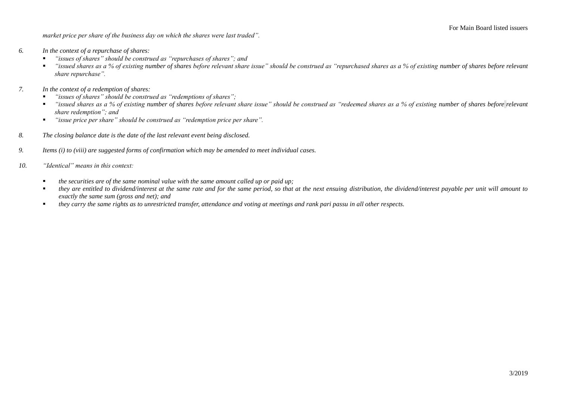*market price per share of the business day on which the shares were last traded".*

- *6. In the context of a repurchase of shares:*
	- *"issues of shares" should be construed as "repurchases of shares"; and*
	- *"issued shares as a % of existing number of shares before relevant share issue" should be construed as "repurchased shares as a % of existing number of shares before relevant share repurchase".*
- *7. In the context of a redemption of shares:*
	- *"issues of shares" should be construed as "redemptions of shares";*
	- *"issued shares as a % of existing number of shares before relevant share issue" should be construed as "redeemed shares as a % of existing number of shares before relevant share redemption"; and*
	- *"issue price per share" should be construed as "redemption price per share".*
- *8. The closing balance date is the date of the last relevant event being disclosed.*
- *9. Items (i) to (viii) are suggested forms of confirmation which may be amended to meet individual cases.*
- *10. "Identical" means in this context:* 
	- *the securities are of the same nominal value with the same amount called up or paid up;*
	- *they are entitled to dividend/interest at the same rate and for the same period, so that at the next ensuing distribution, the dividend/interest payable per unit will amount to exactly the same sum (gross and net); and*
	- *they carry the same rights as to unrestricted transfer, attendance and voting at meetings and rank pari passu in all other respects.*